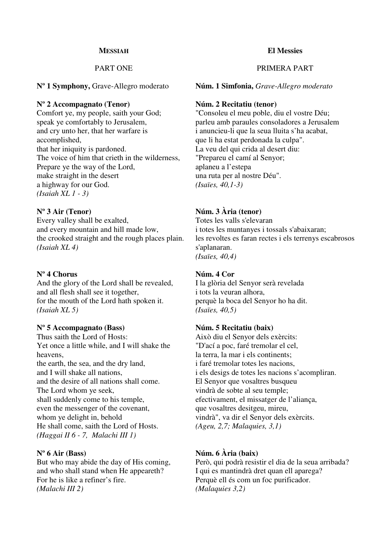#### **MESSIAH**

### PART ONE

**Nº 1 Symphony,** Grave-Allegro moderato

#### **Nº 2 Accompagnato (Tenor)**

Comfort ye, my people, saith your God; speak ye comfortably to Jerusalem, and cry unto her, that her warfare is accomplished, that her iniquity is pardoned. The voice of him that crieth in the wilderness, Prepare ye the way of the Lord, make straight in the desert a highway for our God. *(Isaiah XL 1 - 3)* 

### **Nº 3 Air (Tenor)**

Every valley shall be exalted, and every mountain and hill made low, the crooked straight and the rough places plain. *(Isaiah XL 4)*

### **Nº 4 Chorus**

And the glory of the Lord shall be revealed, and all flesh shall see it together, for the mouth of the Lord hath spoken it. *(Isaiah XL 5)* 

### **Nº 5 Accompagnato (Bass)**

Thus saith the Lord of Hosts: Yet once a little while, and I will shake the heavens, the earth, the sea, and the dry land, and I will shake all nations, and the desire of all nations shall come. The Lord whom ye seek, shall suddenly come to his temple, even the messenger of the covenant, whom ye delight in, behold He shall come, saith the Lord of Hosts. *(Haggai II 6 - 7, Malachi III 1)* 

### **Nº 6 Air (Bass)**

But who may abide the day of His coming, and who shall stand when He appeareth? For he is like a refiner's fire. *(Malachi III 2)* 

#### **El Messies**

### PRIMERA PART

**Núm. 1 Simfonia,** *Grave-Allegro moderato*

#### **Núm. 2 Recitatiu (tenor)**

"Consoleu el meu poble, diu el vostre Déu; parleu amb paraules consoladores a Jerusalem i anuncieu-li que la seua lluita s'ha acabat, que li ha estat perdonada la culpa". La veu del qui crida al desert diu: "Prepareu el camí al Senyor; aplaneu a l'estepa una ruta per al nostre Déu". *(Isaïes, 40,1-3)* 

## **Núm. 3 Ària (tenor)**

Totes les valls s'elevaran i totes les muntanyes i tossals s'abaixaran; les revoltes es faran rectes i els terrenys escabrosos s'aplanaran. *(Isaïes, 40,4)* 

### **Núm. 4 Cor**

I la glòria del Senyor serà revelada i tots la veuran alhora, perquè la boca del Senyor ho ha dit. *(Isaïes, 40,5)* 

### **Núm. 5 Recitatiu (baix)**

Això diu el Senyor dels exèrcits: "D'ací a poc, faré tremolar el cel, la terra, la mar i els continents; i faré tremolar totes les nacions, i els desigs de totes les nacions s'acompliran. El Senyor que vosaltres busqueu vindrà de sobte al seu temple; efectivament, el missatger de l'aliança, que vosaltres desitgeu, mireu, vindrà", va dir el Senyor dels exèrcits. *(Ageu, 2,7; Malaquies, 3,1)* 

## **Núm. 6 Ària (baix)**

Però, qui podrà resistir el dia de la seua arribada? I qui es mantindrà dret quan ell aparega? Perquè ell és com un foc purificador. *(Malaquies 3,2)*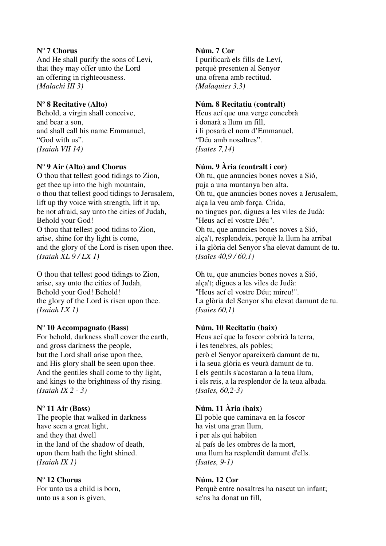## **Nº 7 Chorus**

And He shall purify the sons of Levi, that they may offer unto the Lord an offering in righteousness. *(Malachi III 3)* 

## **Nº 8 Recitative (Alto)**

Behold, a virgin shall conceive, and bear a son, and shall call his name Emmanuel, "God with us". *(Isaiah VII 14)* 

# **Nº 9 Air (Alto) and Chorus**

O thou that tellest good tidings to Zion, get thee up into the high mountain, o thou that tellest good tidings to Jerusalem, lift up thy voice with strength, lift it up, be not afraid, say unto the cities of Judah, Behold your God! O thou that tellest good tidins to Zion, arise, shine for thy light is come, and the glory of the Lord is risen upon thee. *(Isaiah XL 9 / LX 1)* 

O thou that tellest good tidings to Zion, arise, say unto the cities of Judah, Behold your God! Behold! the glory of the Lord is risen upon thee. *(Isaiah LX 1)* 

## **Nº 10 Accompagnato (Bass)**

For behold, darkness shall cover the earth, and gross darkness the people, but the Lord shall arise upon thee, and His glory shall be seen upon thee. And the gentiles shall come to thy light, and kings to the brightness of thy rising. *(Isaiah IX 2 - 3)* 

# **Nº 11 Air (Bass)**

The people that walked in darkness have seen a great light, and they that dwell in the land of the shadow of death, upon them hath the light shined. *(Isaiah IX 1)* 

# **Nº 12 Chorus**

For unto us a child is born, unto us a son is given,

# **Núm. 7 Cor**

I purificarà els fills de Leví, perquè presenten al Senyor una ofrena amb rectitud. *(Malaquies 3,3)* 

## **Núm. 8 Recitatiu (contralt)**

Heus ací que una verge concebrà i donarà a llum un fill, i li posarà el nom d'Emmanuel, "Déu amb nosaltres". *(Isaïes 7,14)* 

# **Núm. 9 Ària (contralt i cor)**

Oh tu, que anuncies bones noves a Sió, puja a una muntanya ben alta. Oh tu, que anuncies bones noves a Jerusalem, alça la veu amb força. Crida, no tingues por, digues a les viles de Judà: "Heus ací el vostre Déu". Oh tu, que anuncies bones noves a Sió, alça't, resplendeix, perquè la llum ha arribat i la glòria del Senyor s'ha elevat damunt de tu. *(Isaïes 40,9 / 60,1)* 

Oh tu, que anuncies bones noves a Sió, alça't; digues a les viles de Judà: "Heus ací el vostre Déu; mireu!". La glòria del Senyor s'ha elevat damunt de tu. *(Isaïes 60,1)* 

# **Núm. 10 Recitatiu (baix)**

Heus ací que la foscor cobrirà la terra, i les tenebres, als pobles; però el Senyor apareixerà damunt de tu, i la seua glòria es veurà damunt de tu. I els gentils s'acostaran a la teua llum, i els reis, a la resplendor de la teua albada. *(Isaïes, 60,2-3)* 

# **Núm. 11 Ària (baix)**

El poble que caminava en la foscor ha vist una gran llum, i per als qui habiten al país de les ombres de la mort, una llum ha resplendit damunt d'ells. *(Isaïes, 9-1)* 

## **Núm. 12 Cor**

Perquè entre nosaltres ha nascut un infant; se'ns ha donat un fill,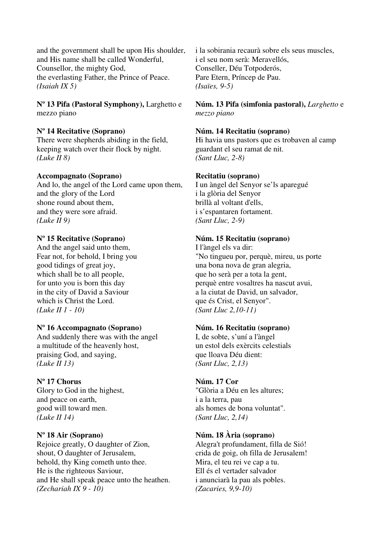and the government shall be upon His shoulder, and His name shall be called Wonderful, Counsellor, the mighty God, the everlasting Father, the Prince of Peace. *(Isaiah IX 5)* 

**Nº 13 Pifa (Pastoral Symphony),** Larghetto e mezzo piano

### **Nº 14 Recitative (Soprano)**

There were shepherds abiding in the field, keeping watch over their flock by night. *(Luke II 8)*

#### **Accompagnato (Soprano)**

And lo, the angel of the Lord came upon them, and the glory of the Lord shone round about them, and they were sore afraid. *(Luke II 9)* 

#### **Nº 15 Recitative (Soprano)**

And the angel said unto them, Fear not, for behold, I bring you good tidings of great joy, which shall be to all people, for unto you is born this day in the city of David a Saviour which is Christ the Lord. *(Luke II 1 - 10)* 

#### **Nº 16 Accompagnato (Soprano)**

And suddenly there was with the angel a multitude of the heavenly host, praising God, and saying, *(Luke II 13)* 

### **Nº 17 Chorus**

Glory to God in the highest, and peace on earth, good will toward men. *(Luke II 14)* 

#### **Nº 18 Air (Soprano)**

Rejoice greatly, O daughter of Zion, shout, O daughter of Jerusalem, behold, thy King cometh unto thee. He is the righteous Saviour, and He shall speak peace unto the heathen. *(Zechariah IX 9 - 10)* 

i la sobirania recaurà sobre els seus muscles, i el seu nom serà: Meravellós, Conseller, Déu Totpoderós, Pare Etern, Príncep de Pau. *(Isaïes, 9-5)* 

### **Núm. 13 Pifa (simfonia pastoral),** *Larghetto* e *mezzo piano*

#### **Núm. 14 Recitatiu (soprano)**

Hi havia uns pastors que es trobaven al camp guardant el seu ramat de nit. *(Sant Lluc, 2-8)* 

#### **Recitatiu (soprano)**

I un àngel del Senyor se'ls aparegué i la glòria del Senyor brillà al voltant d'ells, i s'espantaren fortament. *(Sant Lluc, 2-9)* 

#### **Núm. 15 Recitatiu (soprano)**

I l'àngel els va dir: "No tingueu por, perquè, mireu, us porte una bona nova de gran alegria, que ho serà per a tota la gent, perquè entre vosaltres ha nascut avui, a la ciutat de David, un salvador, que és Crist, el Senyor". *(Sant Lluc 2,10-11)*

#### **Núm. 16 Recitatiu (soprano)**

I, de sobte, s'uní a l'àngel un estol dels exèrcits celestials que lloava Déu dient: *(Sant Lluc, 2,13)* 

### **Núm. 17 Cor**

"Glòria a Déu en les altures; i a la terra, pau als homes de bona voluntat". *(Sant Lluc, 2,14)* 

#### **Núm. 18 Ària (soprano)**

Alegra't profundament, filla de Sió! crida de goig, oh filla de Jerusalem! Mira, el teu rei ve cap a tu. Ell és el vertader salvador i anunciarà la pau als pobles. *(Zacaries, 9,9-10)*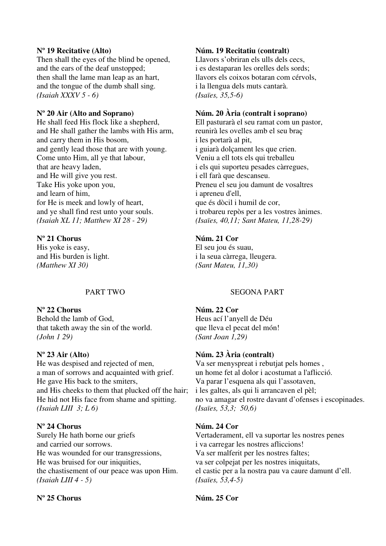### **Nº 19 Recitative (Alto)**

Then shall the eyes of the blind be opened, and the ears of the deaf unstopped; then shall the lame man leap as an hart, and the tongue of the dumb shall sing. *(Isaiah XXXV 5 - 6)* 

### **Nº 20 Air (Alto and Soprano)**

He shall feed His flock like a shepherd, and He shall gather the lambs with His arm, and carry them in His bosom, and gently lead those that are with young. Come unto Him, all ye that labour, that are heavy laden, and He will give you rest. Take His yoke upon you, and learn of him, for He is meek and lowly of heart, and ye shall find rest unto your souls. *(Isaiah XL 11; Matthew XI 28 - 29)* 

### **Nº 21 Chorus**

His yoke is easy, and His burden is light. *(Matthew XI 30)* 

## PART TWO

**Nº 22 Chorus** 

Behold the lamb of God, that taketh away the sin of the world. *(John 1 29)* 

## **Nº 23 Air (Alto)**

He was despised and rejected of men, a man of sorrows and acquainted with grief. He gave His back to the smiters, and His cheeks to them that plucked off the hair; He hid not His face from shame and spitting. *(Isaiah LIII 3; L 6)* 

### **Nº 24 Chorus**

Surely He hath borne our griefs and carried our sorrows. He was wounded for our transgressions, He was bruised for our iniquities, the chastisement of our peace was upon Him. *(Isaiah LIII 4 - 5)* 

### **Nº 25 Chorus**

### **Núm. 19 Recitatiu (contralt)**

Llavors s'obriran els ulls dels cecs, i es destaparan les orelles dels sords; llavors els coixos botaran com cérvols, i la llengua dels muts cantarà. *(Isaïes, 35,5-6)* 

### **Núm. 20 Ària (contralt i soprano)**

Ell pasturarà el seu ramat com un pastor, reunirà les ovelles amb el seu braç i les portarà al pit, i guiarà dolçament les que crien. Veniu a ell tots els qui treballeu i els qui suporteu pesades càrregues, i ell farà que descanseu. Preneu el seu jou damunt de vosaltres i apreneu d'ell, que és dòcil i humil de cor, i trobareu repòs per a les vostres ànimes. *(Isaïes, 40,11; Sant Mateu, 11,28-29)* 

### **Núm. 21 Cor**

El seu jou és suau, i la seua càrrega, lleugera. *(Sant Mateu, 11,30)* 

### SEGONA PART

### **Núm. 22 Cor**

Heus ací l'anyell de Déu que lleva el pecat del món! *(Sant Joan 1,29)* 

### **Núm. 23 Ària (contralt)**

Va ser menyspreat i rebutjat pels homes , un home fet al dolor i acostumat a l'aflicció. Va parar l'esquena als qui l'assotaven, i les galtes, als qui li arrancaven el pèl; no va amagar el rostre davant d'ofenses i escopinades. *(Isaïes, 53,3; 50,6)*

### **Núm. 24 Cor**

Vertaderament, ell va suportar les nostres penes i va carregar les nostres afliccions! Va ser malferit per les nostres faltes; va ser colpejat per les nostres iniquitats, el castic per a la nostra pau va caure damunt d'ell. *(Isaïes, 53,4-5)* 

### **Núm. 25 Cor**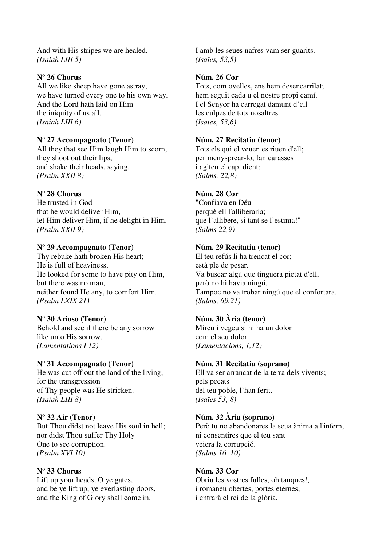And with His stripes we are healed. *(Isaiah LIII 5)*

## **Nº 26 Chorus**

All we like sheep have gone astray, we have turned every one to his own way. And the Lord hath laid on Him the iniquity of us all. *(Isaiah LIII 6)* 

# **Nº 27 Accompagnato (Tenor)**

All they that see Him laugh Him to scorn, they shoot out their lips, and shake their heads, saying, *(Psalm XXII 8)* 

# **Nº 28 Chorus**

He trusted in God that he would deliver Him, let Him deliver Him, if he delight in Him. *(Psalm XXII 9)*

# **Nº 29 Accompagnato (Tenor)**

Thy rebuke hath broken His heart; He is full of heaviness, He looked for some to have pity on Him, but there was no man, neither found He any, to comfort Him. *(Psalm LXIX 21)* 

## **Nº 30 Arioso (Tenor)**

Behold and see if there be any sorrow like unto His sorrow. *(Lamentations I 12)* 

## **Nº 31 Accompagnato (Tenor)**

He was cut off out the land of the living; for the transgression of Thy people was He stricken. *(Isaiah LIII 8)* 

## **Nº 32 Air (Tenor)**

But Thou didst not leave His soul in hell; nor didst Thou suffer Thy Holy One to see corruption. *(Psalm XVI 10)* 

## **Nº 33 Chorus**

Lift up your heads, O ye gates, and be ye lift up, ye everlasting doors, and the King of Glory shall come in.

I amb les seues nafres vam ser guarits. *(Isaïes, 53,5)* 

## **Núm. 26 Cor**

Tots, com ovelles, ens hem desencarrilat; hem seguit cada u el nostre propi camí. I el Senyor ha carregat damunt d'ell les culpes de tots nosaltres. *(Isaïes, 53,6)* 

### **Núm. 27 Recitatiu (tenor)**

Tots els qui el veuen es riuen d'ell; per menysprear-lo, fan carasses i agiten el cap, dient: *(Salms, 22,8)* 

# **Núm. 28 Cor**

"Confiava en Déu perquè ell l'alliberaria; que l'allibere, si tant se l'estima!" *(Salms 22,9)* 

## **Núm. 29 Recitatiu (tenor)**

El teu refús li ha trencat el cor; està ple de pesar. Va buscar algú que tinguera pietat d'ell, però no hi havia ningú. Tampoc no va trobar ningú que el confortara. *(Salms, 69,21)* 

# **Núm. 30 Ària (tenor)**

Mireu i vegeu si hi ha un dolor com el seu dolor. *(Lamentacions, 1,12)* 

### **Núm. 31 Recitatiu (soprano)**

Ell va ser arrancat de la terra dels vivents; pels pecats del teu poble, l'han ferit. *(Isaïes 53, 8)* 

## **Núm. 32 Ària (soprano)**

Però tu no abandonares la seua ànima a l'infern, ni consentires que el teu sant veiera la corrupció. *(Salms 16, 10)* 

### **Núm. 33 Cor**

Obriu les vostres fulles, oh tanques!, i romaneu obertes, portes eternes, i entrarà el rei de la glòria.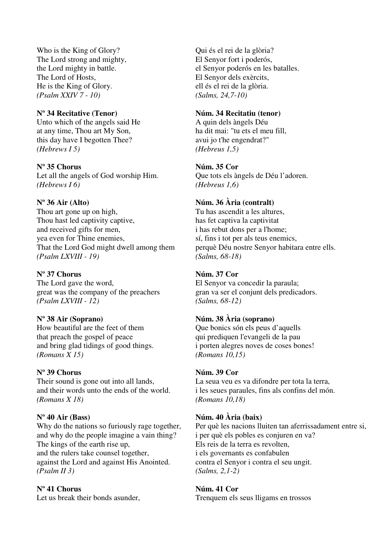Who is the King of Glory? The Lord strong and mighty, the Lord mighty in battle. The Lord of Hosts, He is the King of Glory. *(Psalm XXIV 7 - 10)* 

## **Nº 34 Recitative (Tenor)**

Unto which of the angels said He at any time, Thou art My Son, this day have I begotten Thee? *(Hebrews I 5)* 

## **Nº 35 Chorus**

Let all the angels of God worship Him. *(Hebrews I 6)* 

# **Nº 36 Air (Alto)**

Thou art gone up on high, Thou hast led captivity captive, and received gifts for men, yea even for Thine enemies, That the Lord God might dwell among them *(Psalm LXVIII - 19)* 

### **Nº 37 Chorus**

The Lord gave the word, great was the company of the preachers *(Psalm LXVIII - 12)* 

## **Nº 38 Air (Soprano)**

How beautiful are the feet of them that preach the gospel of peace and bring glad tidings of good things. *(Romans X 15)* 

### **Nº 39 Chorus**

Their sound is gone out into all lands, and their words unto the ends of the world. *(Romans X 18)*

## **Nº 40 Air (Bass)**

Why do the nations so furiously rage together, and why do the people imagine a vain thing? The kings of the earth rise up, and the rulers take counsel together, against the Lord and against His Anointed. *(Psalm II 3)* 

### **Nº 41 Chorus**

Let us break their bonds asunder,

Qui és el rei de la glòria? El Senyor fort i poderós, el Senyor poderós en les batalles. El Senyor dels exèrcits, ell és el rei de la glòria. *(Salms, 24,7-10)* 

### **Núm. 34 Recitatiu (tenor)**

A quin dels àngels Déu ha dit mai: "tu ets el meu fill, avui jo t'he engendrat?" *(Hebreus 1,5)* 

## **Núm. 35 Cor**

Que tots els àngels de Déu l'adoren. *(Hebreus 1,6)* 

# **Núm. 36 Ària (contralt)**

Tu has ascendit a les altures, has fet captiva la captivitat i has rebut dons per a l'home; sí, fins i tot per als teus enemics, perquè Déu nostre Senyor habitara entre ells. *(Salms, 68-18)* 

### **Núm. 37 Cor**

El Senyor va concedir la paraula; gran va ser el conjunt dels predicadors. *(Salms, 68-12)* 

## **Núm. 38 Ària (soprano)**

Que bonics són els peus d'aquells qui prediquen l'evangeli de la pau i porten alegres noves de coses bones! *(Romans 10,15)* 

### **Núm. 39 Cor**

La seua veu es va difondre per tota la terra, i les seues paraules, fins als confins del món. *(Romans 10,18)* 

## **Núm. 40 Ària (baix)**

Per què les nacions lluiten tan aferrissadament entre si, i per què els pobles es conjuren en va? Els reis de la terra es revolten, i els governants es confabulen contra el Senyor i contra el seu ungit. *(Salms, 2,1-2)* 

# **Núm. 41 Cor**

Trenquem els seus lligams en trossos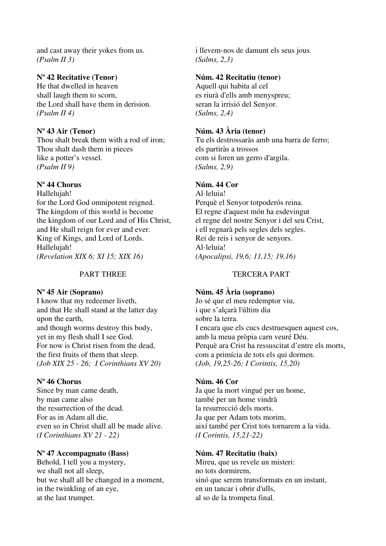and cast away their yokes from us. *(Psalm II 3)* 

# **Nº 42 Recitative (Tenor)**

He that dwelled in heaven shall laugh them to scorn, the Lord shall have them in derision. *(Psalm II 4)* 

### **Nº 43 Air (Tenor)**

Thou shalt break them with a rod of iron; Thou shalt dash them in pieces like a potter's vessel. *(Psalm II 9)* 

## **Nº 44 Chorus**

Hallelujah! for the Lord God omnipotent reigned. The kingdom of this world is become the kingdom of our Lord and of His Christ, and He shall reign for ever and ever. King of Kings, and Lord of Lords. Hallelujah! *(Revelation XIX 6; XI 15; XIX 16)* 

### PART THREE

### **Nº 45 Air (Soprano)**

I know that my redeemer liveth, and that He shall stand at the latter day upon the earth, and though worms destroy this body, yet in my flesh shall I see God. For now is Christ risen from the dead, the first fruits of them that sleep. *(Job XIX 25 - 26; I Corinthians XV 20)* 

### **Nº 46 Chorus**

Since by man came death, by man came also the resurrection of the dead. For as in Adam all die, even so in Christ shall all be made alive. *(I Corinthians XV 21 - 22)* 

## **Nº 47 Accompagnato (Bass)**

Behold, I tell you a mystery, we shall not all sleep, but we shall all be changed in a moment, in the twinkling of an eye, at the last trumpet.

i llevem-nos de damunt els seus jous. *(Salms, 2,3)* 

### **Núm. 42 Recitatiu (tenor)**

Aquell qui habita al cel es riurà d'ells amb menyspreu; seran la irrisió del Senyor. *(Salms, 2,4)* 

### **Núm. 43 Ària (tenor)**

Tu els destrossaràs amb una barra de ferro; els partiràs a trossos com si foren un gerro d'argila. *(Salms, 2,9)* 

### **Núm. 44 Cor**

Al·leluia! Perquè el Senyor totpoderós reina. El regne d'aquest món ha esdevingut el regne del nostre Senyor i del seu Crist, i ell regnarà pels segles dels segles. Rei de reis i senyor de senyors. Al·leluia! *(Apocalipsi, 19,6; 11,15; 19,16)* 

### TERCERA PART

### **Núm. 45 Ària (soprano)**

Jo sé que el meu redemptor viu, i que s'alçarà l'últim dia sobre la terra. I encara que els cucs destruesquen aquest cos, amb la meua pròpia carn veuré Déu. Perquè ara Crist ha ressuscitat d'entre els morts, com a primícia de tots els qui dormen. *(Job, 19,25-26; I Corintis, 15,20)* 

#### **Núm. 46 Cor**

Ja que la mort vingué per un home, també per un home vindrà la resurrecció dels morts. Ja que per Adam tots morim, així també per Crist tots tornarem a la vida. *(I Corintis, 15,21-22)* 

### **Núm. 47 Recitatiu (baix)**

Mireu, que us revele un misteri: no tots dormirem, sinó que serem transformats en un instant, en un tancar i obrir d'ulls, al so de la trompeta final.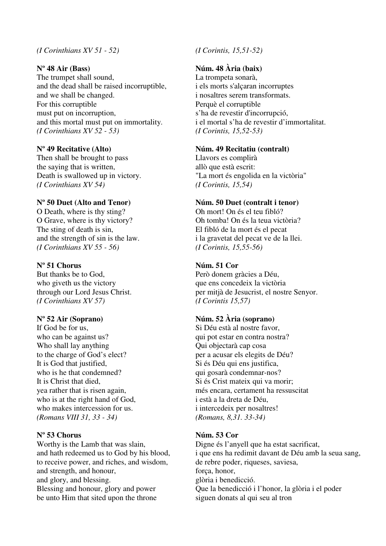#### *(I Corinthians XV 51 - 52)*

#### **Nº 48 Air (Bass)**

The trumpet shall sound, and the dead shall be raised incorruptible, and we shall be changed. For this corruptible must put on incorruption, and this mortal must put on immortality. *(I Corinthians XV 52 - 53)* 

#### **Nº 49 Recitative (Alto)**

Then shall be brought to pass the saying that is written, Death is swallowed up in victory. *(I Corinthians XV 54)* 

### **Nº 50 Duet (Alto and Tenor)**

O Death, where is thy sting? O Grave, where is thy victory? The sting of death is sin, and the strength of sin is the law. *(I Corinthians XV 55 - 56)* 

### **Nº 51 Chorus**

But thanks be to God, who giveth us the victory through our Lord Jesus Christ. *(I Corinthians XV 57)* 

### **Nº 52 Air (Soprano)**

If God be for us, who can be against us? Who shall lay anything to the charge of God's elect? It is God that justified, who is he that condemned? It is Christ that died, yea rather that is risen again, who is at the right hand of God, who makes intercession for us. *(Romans VIII 31, 33 - 34)* 

#### **Nº 53 Chorus**

Worthy is the Lamb that was slain, and hath redeemed us to God by his blood, to receive power, and riches, and wisdom, and strength, and honour, and glory, and blessing. Blessing and honour, glory and power be unto Him that sited upon the throne

### *(I Corintis, 15,51-52)*

## **Núm. 48 Ària (baix)**

La trompeta sonarà, i els morts s'alçaran incorruptes i nosaltres serem transformats. Perquè el corruptible s'ha de revestir d'incorrupció, i el mortal s'ha de revestir d'immortalitat. *(I Corintis, 15,52-53)* 

#### **Núm. 49 Recitatiu (contralt)**

Llavors es complirà allò que està escrit: "La mort és engolida en la victòria" *(I Corintis, 15,54)* 

### **Núm. 50 Duet (contralt i tenor)**

Oh mort! On és el teu fibló? Oh tomba! On és la teua victòria? El fibló de la mort és el pecat i la gravetat del pecat ve de la llei. *(I Corintis, 15,55-56)* 

#### **Núm. 51 Cor**

Però donem gràcies a Déu, que ens concedeix la victòria per mitjà de Jesucrist, el nostre Senyor. *(I Corintis 15,57)* 

## **Núm. 52 Ària (soprano)**

Si Déu està al nostre favor, qui pot estar en contra nostra? Qui objectarà cap cosa per a acusar els elegits de Déu? Si és Déu qui ens justifica, qui gosarà condemnar-nos? Si és Crist mateix qui va morir; més encara, certament ha ressuscitat i està a la dreta de Déu, i intercedeix per nosaltres! *(Romans, 8,31. 33-34)* 

#### **Núm. 53 Cor**

Digne és l'anyell que ha estat sacrificat, i que ens ha redimit davant de Déu amb la seua sang, de rebre poder, riqueses, saviesa, força, honor, glòria i benedicció. Que la benedicció i l'honor, la glòria i el poder siguen donats al qui seu al tron